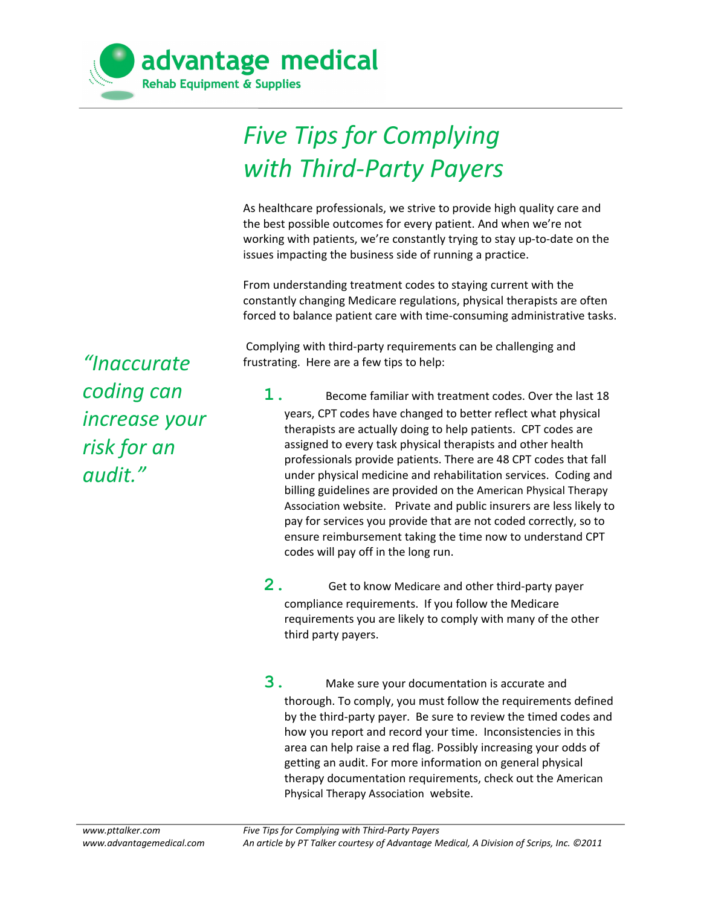

## *Five Tips for Complying with Third-Party Payers*

As healthcare professionals, we strive to provide high quality care and the best possible outcomes for every patient. And when we're not working with patients, we're constantly trying to stay up-to-date on the issues impacting the business side of running a practice.

From understanding treatment codes to staying current with the constantly changing Medicare regulations, physical therapists are often forced to balance patient care with time-consuming administrative tasks.

 Complying with third-party requirements can be challenging and frustrating. Here are a few tips to help:

- **1.** Become familiar with treatment codes. Over the last 18 years, CPT codes have changed to better reflect what physical therapists are actually doing to help patients. CPT codes are assigned to every task physical therapists and other health professionals provide patients. There are 48 CPT codes that fall under physical medicine and rehabilitation services. Coding and billing guidelines are provided on the [American Physical Therapy](http://www.apta.org/Payment/CodingBilling/) [Association](http://www.apta.org/Payment/CodingBilling/) website. Private and public insurers are less likely to pay for services you provide that are not coded correctly, so to ensure reimbursement taking the time now to understand CPT codes will pay off in the long run.
- **2.** Get to know [Medicare](http://www.cms.gov/manuals/downloads/clm104c05.pdf) and other third-party payer compliance requirements. If you follow the Medicare requirements you are likely to comply with many of the other third party payers.
- **3.** Make sure your documentation is accurate and thorough. To comply, you must follow the requirements defined by the third-party payer. Be sure to review the timed codes and how you report and record your time. Inconsistencies in this area can help raise a red flag. Possibly increasing your odds of getting an audit. For more information on general physical therapy documentation requirements, check out the [American](http://www.apta.org/uploadedFiles/APTAorg/About_Us/Policies/BOD/Practice/DocumentationPatientClientMgmt.pdf) [Physical Therapy Association](http://www.apta.org/uploadedFiles/APTAorg/About_Us/Policies/BOD/Practice/DocumentationPatientClientMgmt.pdf) website.

*"Inaccurate coding can increase your risk for an audit."*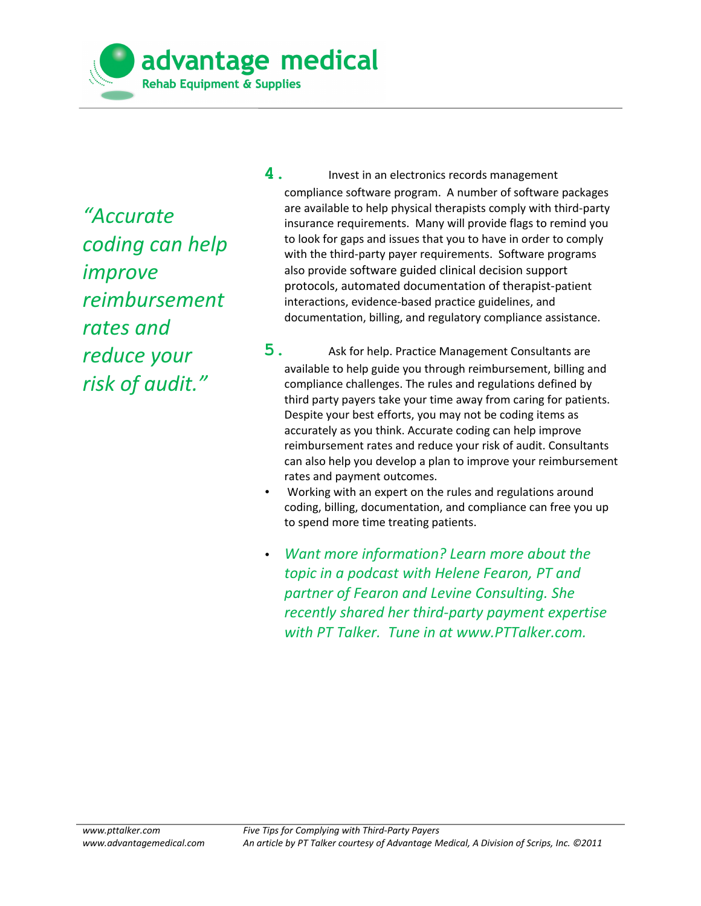advantage medical **Rehab Equipment & Supplies** 

*"Accurate coding can help improve reimbursement rates and reduce your risk of audit."*

**4** . Invest in an electronics records management compliance software program. A number of software packages are available to help physical therapists comply with third-party insurance requirements. Many will provide flags to remind you to look for gaps and issues that you to have in order to comply with the third-party payer requirements. Software programs also provide software guided clinical decision support protocols, automated documentation of therapist-patient interactions, evidence-based practice guidelines, and documentation, billing, and regulatory compliance assistance.

- **5.** Ask for help. Practice Management Consultants are available to help guide you through reimbursement, billing and compliance challenges. The rules and regulations defined by third party payers take your time away from caring for patients. Despite your best efforts, you may not be coding items as accurately as you think. Accurate coding can help improve reimbursement rates and reduce your risk of audit. Consultants can also help you develop a plan to improve your reimbursement rates and payment outcomes.
- Working with an expert on the rules and regulations around coding, billing, documentation, and compliance can free you up to spend more time treating patients.
- *Want more information? Learn more about the topic in a podcast with [Helene Fearon,](http://fearonlevine.com/HeleneFearonProfile.aspx) PT and partner of [Fearon and Levine Consulting.](http://fearonlevine.com/) She recently shared her third-party payment expertise with [PT Talker.](http://pttalker.com/2011/03/overcome-physical-therapy-reimbursement-challenges-2/) Tune in at www.PTTalker.com.*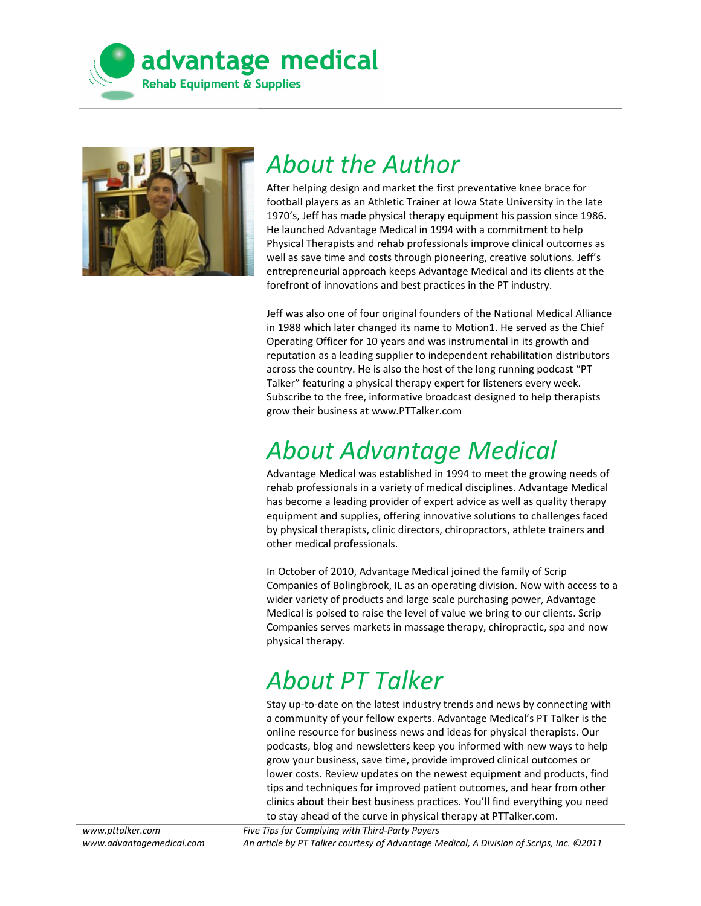



## *About the Author*

After helping design and market the first preventative knee brace for football players as an Athletic Trainer at Iowa State University in the late 1970's, Jeff has made physical therapy equipment his passion since 1986. He launched Advantage Medical in 1994 with a commitment to help Physical Therapists and rehab professionals improve clinical outcomes as well as save time and costs through pioneering, creative solutions. Jeff's entrepreneurial approach keeps Advantage Medical and its clients at the forefront of innovations and best practices in the PT industry.

Jeff was also one of four original founders of the National Medical Alliance in 1988 which later changed its name to Motion1. He served as the Chief Operating Officer for 10 years and was instrumental in its growth and reputation as a leading supplier to independent rehabilitation distributors across the country. He is also the host of the long running podcast "PT Talker" featuring a physical therapy expert for listeners every week. Subscribe to the free, informative broadcast designed to help therapists grow their business at [www.PTTalker.com](http://pttalker.com/)

## *About Advantage Medical*

Advantage Medical was established in 1994 to meet the growing needs of rehab professionals in a variety of medical disciplines. Advantage Medical has become a leading provider of [expert advice](http://www.advantagemedical.com/?page_id=71) as well as quality therapy equipment and supplies, offering [innovative solutions](http://www.advantagemedical.com/?page_id=120) to challenges faced by physical therapists, clinic directors, chiropractors, athlete trainers and other medical professionals.

In October of 2010, Advantage Medical joined the family of Scrip Companies of Bolingbrook, IL as an operating division. Now with access to a wider variety of products and large scale purchasing power, Advantage Medical is poised to raise the level of value we bring to our clients. Scrip Companies serves markets in massage therapy, chiropractic, spa and now physical therapy.

## *About PT Talker*

Stay up-to-date on the latest industry trends and news by connecting with a community of your fellow experts. Advantage Medical's [PT Talker](http://www.pttalker.com/) is the online resource for business news and ideas for physical therapists. Our podcasts, blog and newsletters keep you informed with new ways to help grow your business, save time, provide improved clinical outcomes or lower costs. Review updates on the newest equipment and products, find tips and techniques for improved patient outcomes, and hear from other clinics about their best business practices. You'll find everything you need to stay ahead of the curve in physical therapy at [PTTalker.com.](http://www.pttalker.com/)

*Five Tips for Complying with Third-Party Payers An article by PT Talker courtesy of Advantage Medical, A Division of Scrips, Inc. ©2011*